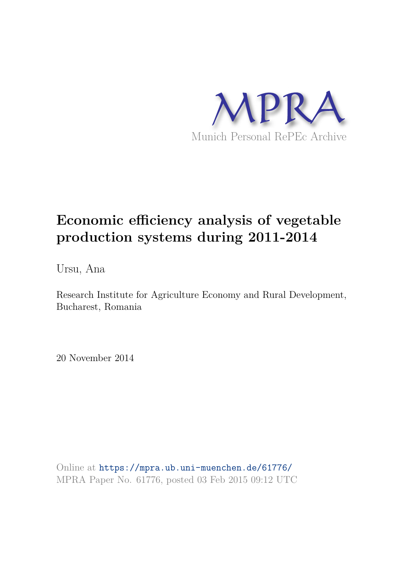

# **Economic efficiency analysis of vegetable production systems during 2011-2014**

Ursu, Ana

Research Institute for Agriculture Economy and Rural Development, Bucharest, Romania

20 November 2014

Online at https://mpra.ub.uni-muenchen.de/61776/ MPRA Paper No. 61776, posted 03 Feb 2015 09:12 UTC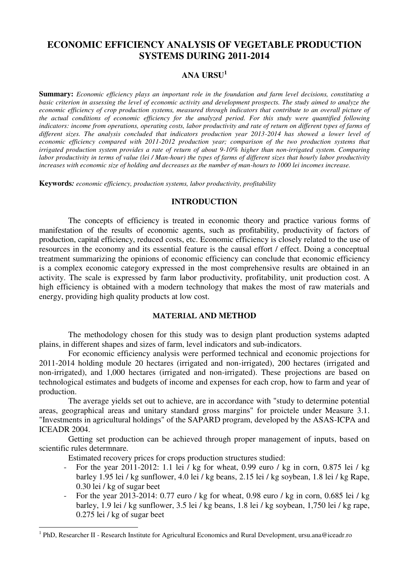# **ECONOMIC EFFICIENCY ANALYSIS OF VEGETABLE PRODUCTION SYSTEMS DURING 2011-2014**

# **ANA URSU<sup>1</sup>**

**Summary:** *Economic efficiency plays an important role in the foundation and farm level decisions, constituting a basic criterion in assessing the level of economic activity and development prospects. The study aimed to analyze the economic efficiency of crop production systems, measured through indicators that contribute to an overall picture of the actual conditions of economic efficiency for the analyzed period. For this study were quantified following indicators: income from operations, operating costs, labor productivity and rate of return on different types of farms of*  different sizes. The analysis concluded that indicators production year 2013-2014 has showed a lower level of *economic efficiency compared with 2011-2012 production year; comparison of the two production systems that irrigated production system provides a rate of return of about 9-10% higher than non-irrigated system. Comparing labor productivity in terms of value (lei / Man-hour) the types of farms of different sizes that hourly labor productivity increases with economic size of holding and decreases as the number of man-hours to 1000 lei incomes increase.* 

**Keywords***: economic efficiency, production systems, labor productivity, profitability* 

#### **INTRODUCTION**

The concepts of efficiency is treated in economic theory and practice various forms of manifestation of the results of economic agents, such as profitability, productivity of factors of production, capital efficiency, reduced costs, etc. Economic efficiency is closely related to the use of resources in the economy and its essential feature is the causal effort / effect. Doing a conceptual treatment summarizing the opinions of economic efficiency can conclude that economic efficiency is a complex economic category expressed in the most comprehensive results are obtained in an activity. The scale is expressed by farm labor productivity, profitability, unit production cost. A high efficiency is obtained with a modern technology that makes the most of raw materials and energy, providing high quality products at low cost.

#### **MATERIAL AND METHOD**

The methodology chosen for this study was to design plant production systems adapted plains, in different shapes and sizes of farm, level indicators and sub-indicators.

For economic efficiency analysis were performed technical and economic projections for 2011-2014 holding module 20 hectares (irrigated and non-irrigated), 200 hectares (irrigated and non-irrigated), and 1,000 hectares (irrigated and non-irrigated). These projections are based on technological estimates and budgets of income and expenses for each crop, how to farm and year of production.

The average yields set out to achieve, are in accordance with "study to determine potential areas, geographical areas and unitary standard gross margins" for proictele under Measure 3.1. "Investments in agricultural holdings" of the SAPARD program, developed by the ASAS-ICPA and ICEADR 2004.

Getting set production can be achieved through proper management of inputs, based on scientific rules determnare.

Estimated recovery prices for crops production structures studied:

 $\overline{a}$ 

- For the year 2011-2012: 1.1 lei / kg for wheat, 0.99 euro / kg in corn, 0.875 lei / kg barley 1.95 lei / kg sunflower, 4.0 lei / kg beans, 2.15 lei / kg soybean, 1.8 lei / kg Rape, 0.30 lei / kg of sugar beet
- For the year 2013-2014: 0.77 euro / kg for wheat, 0.98 euro / kg in corn, 0.685 lei / kg barley, 1.9 lei / kg sunflower, 3.5 lei / kg beans, 1.8 lei / kg soybean, 1,750 lei / kg rape, 0.275 lei / kg of sugar beet

<sup>&</sup>lt;sup>1</sup> PhD, Researcher II - Research Institute for Agricultural Economics and Rural Development, ursu.ana@iceadr.ro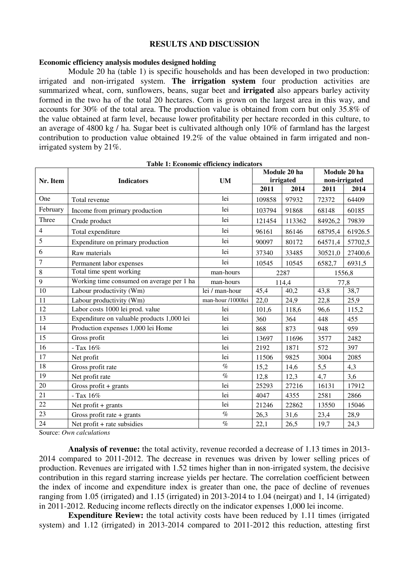#### **RESULTS AND DISCUSSION**

#### **Economic efficiency analysis modules designed holding**

Module 20 ha (table 1) is specific households and has been developed in two production: irrigated and non-irrigated system. **The irrigation system** four production activities are summarized wheat, corn, sunflowers, beans, sugar beet and **irrigated** also appears barley activity formed in the two ha of the total 20 hectares. Corn is grown on the largest area in this way, and accounts for 30% of the total area. The production value is obtained from corn but only 35.8% of the value obtained at farm level, because lower profitability per hectare recorded in this culture, to an average of 4800 kg / ha. Sugar beet is cultivated although only 10% of farmland has the largest contribution to production value obtained 19.2% of the value obtained in farm irrigated and nonirrigated system by 21%.

| Nr. Item       | <b>Indicators</b>                          | <b>UM</b>         | Module 20 ha<br>irrigated |        | Module 20 ha<br>non-irrigated |         |
|----------------|--------------------------------------------|-------------------|---------------------------|--------|-------------------------------|---------|
|                |                                            |                   | 2011                      | 2014   | 2011                          | 2014    |
| One            | Total revenue                              | lei               | 109858                    | 97932  | 72372                         | 64409   |
| February       | Income from primary production             | lei               | 103794                    | 91868  | 68148                         | 60185   |
| Three          | Crude product                              | lei               | 121454                    | 113362 | 84926,2                       | 79839   |
| $\overline{4}$ | Total expenditure                          | lei               | 96161                     | 86146  | 68795,4                       | 61926.5 |
| 5              | Expenditure on primary production          | lei               | 90097                     | 80172  | 64571,4                       | 57702,5 |
| 6              | Raw materials                              | lei               | 37340                     | 33485  | 30521,0                       | 27400,6 |
| 7              | Permanent labor expenses                   | lei               | 10545                     | 10545  | 6582,7                        | 6931,5  |
| 8              | Total time spent working                   | man-hours         | 2287                      |        | 1556,8                        |         |
| 9              | Working time consumed on average per 1 ha  | man-hours         | 114,4                     |        | 77,8                          |         |
| 10             | Labour productivity (Wm)                   | lei / man-hour    | 45,4                      | 40,2   | 43,8                          | 38,7    |
| 11             | Labour productivity (Wm)                   | man-hour /1000lei | 22,0                      | 24,9   | 22,8                          | 25,9    |
| 12             | Labor costs 1000 lei prod. value           | lei               | 101,6                     | 118,6  | 96,6                          | 115,2   |
| 13             | Expenditure on valuable products 1,000 lei | lei               | 360                       | 364    | 448                           | 455     |
| 14             | Production expenses 1,000 lei Home         | lei               | 868                       | 873    | 948                           | 959     |
| 15             | Gross profit                               | lei               | 13697                     | 11696  | 3577                          | 2482    |
| 16             | - Tax $16\%$                               | lei               | 2192                      | 1871   | 572                           | 397     |
| 17             | Net profit                                 | lei               | 11506                     | 9825   | 3004                          | 2085    |
| 18             | Gross profit rate                          | $\%$              | 15,2                      | 14,6   | 5,5                           | 4,3     |
| 19             | Net profit rate                            | $\%$              | 12,8                      | 12,3   | 4,7                           | 3,6     |
| 20             | Gross profit $+$ grants                    | lei               | 25293                     | 27216  | 16131                         | 17912   |
| 21             | - Tax 16%                                  | lei               | 4047                      | 4355   | 2581                          | 2866    |
| 22             | Net profit $+$ grants                      | lei               | 21246                     | 22862  | 13550                         | 15046   |
| 23             | Gross profit rate $+$ grants               | $\%$              | 26,3                      | 31,6   | 23,4                          | 28,9    |
| 24             | Net profit + rate subsidies                | $\%$              | 22,1                      | 26,5   | 19,7                          | 24,3    |

**Table 1: Economic efficiency indicators** 

Source: *Own calculations* 

**Analysis of revenue:** the total activity, revenue recorded a decrease of 1.13 times in 2013- 2014 compared to 2011-2012. The decrease in revenues was driven by lower selling prices of production. Revenues are irrigated with 1.52 times higher than in non-irrigated system, the decisive contribution in this regard starring increase yields per hectare. The correlation coefficient between the index of income and expenditure index is greater than one, the pace of decline of revenues ranging from 1.05 (irrigated) and 1.15 (irrigated) in 2013-2014 to 1.04 (neirgat) and 1, 14 (irrigated) in 2011-2012. Reducing income reflects directly on the indicator expenses 1,000 lei income.

**Expenditure Review:** the total activity costs have been reduced by 1.11 times (irrigated) system) and 1.12 (irrigated) in 2013-2014 compared to 2011-2012 this reduction, attesting first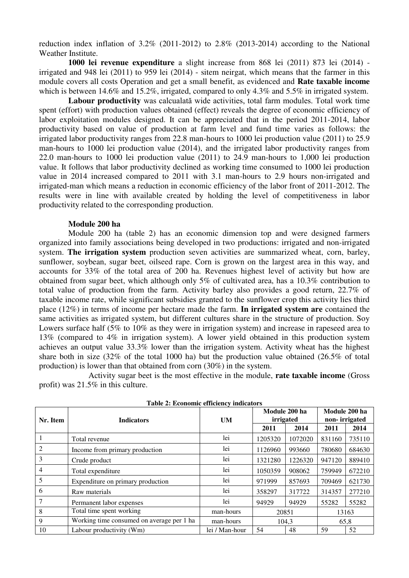reduction index inflation of 3.2% (2011-2012) to 2.8% (2013-2014) according to the National Weather Institute.

**1000 lei revenue expenditure** a slight increase from 868 lei (2011) 873 lei (2014) irrigated and 948 lei (2011) to 959 lei (2014) - sitem neirgat, which means that the farmer in this module covers all costs Operation and get a small benefit, as evidenced and **Rate taxable income**  which is between 14.6% and 15.2%, irrigated, compared to only 4.3% and 5.5% in irrigated system.

**Labour productivity** was calcualată wide activities, total farm modules. Total work time spent (effort) with production values obtained (effect) reveals the degree of economic efficiency of labor exploitation modules designed. It can be appreciated that in the period 2011-2014, labor productivity based on value of production at farm level and fund time varies as follows: the irrigated labor productivity ranges from 22.8 man-hours to 1000 lei production value (2011) to 25.9 man-hours to 1000 lei production value (2014), and the irrigated labor productivity ranges from 22.0 man-hours to 1000 lei production value (2011) to 24.9 man-hours to 1,000 lei production value. It follows that labor productivity declined as working time consumed to 1000 lei production value in 2014 increased compared to 2011 with 3.1 man-hours to 2.9 hours non-irrigated and irrigated-man which means a reduction in economic efficiency of the labor front of 2011-2012. The results were in line with available created by holding the level of competitiveness in labor productivity related to the corresponding production.

# **Module 200 ha**

Module 200 ha (table 2) has an economic dimension top and were designed farmers organized into family associations being developed in two productions: irrigated and non-irrigated system. **The irrigation system** production seven activities are summarized wheat, corn, barley, sunflower, soybean, sugar beet, oilseed rape. Corn is grown on the largest area in this way, and accounts for 33% of the total area of 200 ha. Revenues highest level of activity but how are obtained from sugar beet, which although only 5% of cultivated area, has a 10.3% contribution to total value of production from the farm. Activity barley also provides a good return, 22.7% of taxable income rate, while significant subsidies granted to the sunflower crop this activity lies third place (12%) in terms of income per hectare made the farm. **In irrigated system are** contained the same activities as irrigated system, but different cultures share in the structure of production. Soy Lowers surface half (5% to 10% as they were in irrigation system) and increase in rapeseed area to 13% (compared to 4% in irrigation system). A lower yield obtained in this production system achieves an output value 33.3% lower than the irrigation system. Activity wheat has the highest share both in size (32% of the total 1000 ha) but the production value obtained (26.5% of total production) is lower than that obtained from corn (30%) in the system.

 Activity sugar beet is the most effective in the module, **rate taxable income** (Gross profit) was 21.5% in this culture.

| Table 2. ECONOMIC CHICIERY MURARDIS |                                            |                |                            |         |                                |        |  |  |
|-------------------------------------|--------------------------------------------|----------------|----------------------------|---------|--------------------------------|--------|--|--|
| Nr. Item                            | <b>Indicators</b>                          | <b>UM</b>      | Module 200 ha<br>irrigated |         | Module 200 ha<br>non-irrigated |        |  |  |
|                                     |                                            |                | 2011                       | 2014    | 2011                           | 2014   |  |  |
|                                     | Total revenue                              | lei            | 1205320                    | 1072020 | 831160                         | 735110 |  |  |
| 2                                   | Income from primary production             | lei            | 1126960                    | 993660  | 780680                         | 684630 |  |  |
| 3                                   | Crude product                              | lei            | 1321280                    | 1226320 | 947120                         | 889410 |  |  |
| 4                                   | Total expenditure                          | lei            | 1050359                    | 908062  | 759949                         | 672210 |  |  |
| 5                                   | Expenditure on primary production          | lei            | 971999                     | 857693  | 709469                         | 621730 |  |  |
| 6                                   | Raw materials                              | lei            | 358297                     | 317722  | 314357                         | 277210 |  |  |
|                                     | Permanent labor expenses                   | lei            | 94929                      | 94929   | 55282                          | 55282  |  |  |
| 8                                   | Total time spent working                   | man-hours      | 20851                      |         | 13163                          |        |  |  |
| 9                                   | Working time consumed on average per 1 has | man-hours      | 104,3                      |         | 65,8                           |        |  |  |
| 10                                  | Labour productivity (Wm)                   | lei / Man-hour | 54                         | 48      | 59                             | 52     |  |  |

**Table 2: Economic efficiency indicators**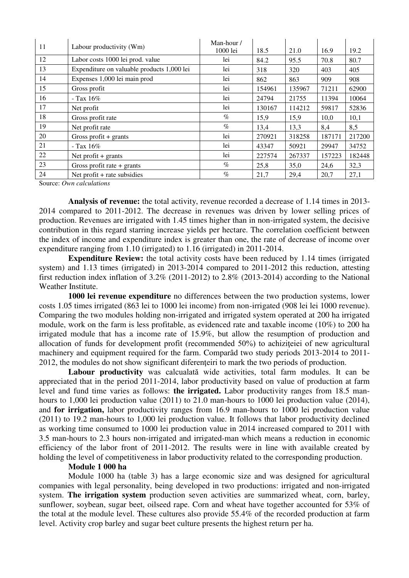| 11 | Labour productivity (Wm)                   | Man-hour /<br>1000 lei | 18.5   | 21.0   | 16.9   | 19.2   |
|----|--------------------------------------------|------------------------|--------|--------|--------|--------|
| 12 | Labor costs 1000 lei prod. value           | lei                    | 84.2   | 95.5   | 70.8   | 80.7   |
| 13 | Expenditure on valuable products 1,000 lei | lei                    | 318    | 320    | 403    | 405    |
| 14 | Expenses 1,000 lei main prod               | lei                    | 862    | 863    | 909    | 908    |
| 15 | Gross profit                               | lei                    | 154961 | 135967 | 71211  | 62900  |
| 16 | - Tax $16\%$                               | lei                    | 24794  | 21755  | 11394  | 10064  |
| 17 | Net profit                                 | lei                    | 130167 | 114212 | 59817  | 52836  |
| 18 | Gross profit rate                          | $\%$                   | 15,9   | 15,9   | 10,0   | 10,1   |
| 19 | Net profit rate                            | $\%$                   | 13,4   | 13,3   | 8,4    | 8,5    |
| 20 | Gross profit $+$ grants                    | lei                    | 270921 | 318258 | 187171 | 217200 |
| 21 | - Tax $16\%$                               | lei                    | 43347  | 50921  | 29947  | 34752  |
| 22 | Net profit $+$ grants                      | lei                    | 227574 | 267337 | 157223 | 182448 |
| 23 | Gross profit rate $+$ grants               | $\%$                   | 25,8   | 35,0   | 24,6   | 32,3   |
| 24 | Net profit $+$ rate subsidies              | $\%$                   | 21,7   | 29,4   | 20,7   | 27,1   |

Source: *Own calculations*

**Analysis of revenue:** the total activity, revenue recorded a decrease of 1.14 times in 2013- 2014 compared to 2011-2012. The decrease in revenues was driven by lower selling prices of production. Revenues are irrigated with 1.45 times higher than in non-irrigated system, the decisive contribution in this regard starring increase yields per hectare. The correlation coefficient between the index of income and expenditure index is greater than one, the rate of decrease of income over expenditure ranging from 1.10 (irrigated) to 1.16 (irrigated) in 2011-2014.

**Expenditure Review:** the total activity costs have been reduced by 1.14 times (irrigated system) and 1.13 times (irrigated) in 2013-2014 compared to 2011-2012 this reduction, attesting first reduction index inflation of 3.2% (2011-2012) to 2.8% (2013-2014) according to the National Weather Institute.

**1000 lei revenue expenditure** no differences between the two production systems, lower costs 1.05 times irrigated (863 lei to 1000 lei income) from non-irrigated (908 lei lei 1000 revenue). Comparing the two modules holding non-irrigated and irrigated system operated at 200 ha irrigated module, work on the farm is less profitable, as evidenced rate and taxable income (10%) to 200 ha irrigated module that has a income rate of 15.9%, but allow the resumption of production and allocation of funds for development profit (recommended 50%) to achiziţeiei of new agricultural machinery and equipment required for the farm. Comparâd two study periods 2013-2014 to 2011- 2012, the modules do not show significant diferenţeiri to mark the two periods of production.

**Labour productivity** was calcualată wide activities, total farm modules. It can be appreciated that in the period 2011-2014, labor productivity based on value of production at farm level and fund time varies as follows: **the irrigated.** Labor productivity ranges from 18.5 manhours to 1,000 lei production value (2011) to 21.0 man-hours to 1000 lei production value (2014), and **for irrigation,** labor productivity ranges from 16.9 man-hours to 1000 lei production value (2011) to 19.2 man-hours to 1,000 lei production value. It follows that labor productivity declined as working time consumed to 1000 lei production value in 2014 increased compared to 2011 with 3.5 man-hours to 2.3 hours non-irrigated and irrigated-man which means a reduction in economic efficiency of the labor front of 2011-2012. The results were in line with available created by holding the level of competitiveness in labor productivity related to the corresponding production.

#### **Module 1 000 ha**

Module 1000 ha (table 3) has a large economic size and was designed for agricultural companies with legal personality, being developed in two productions: irrigated and non-irrigated system. **The irrigation system** production seven activities are summarized wheat, corn, barley, sunflower, soybean, sugar beet, oilseed rape. Corn and wheat have together accounted for 53% of the total at the module level. These cultures also provide 55.4% of the recorded production at farm level. Activity crop barley and sugar beet culture presents the highest return per ha.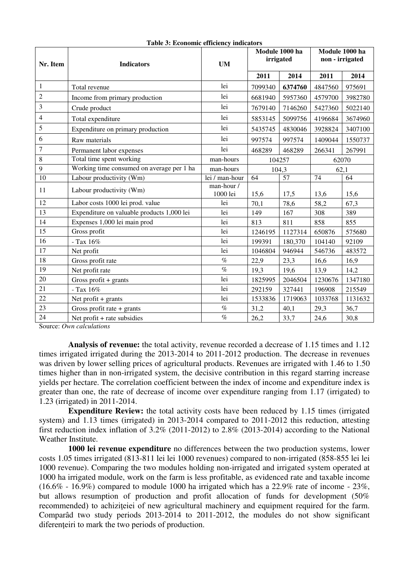| Nr. Item       | <b>Indicators</b>                          | <b>UM</b>              | Module 1000 ha<br>irrigated |         | Module 1000 ha<br>non - irrigated |         |
|----------------|--------------------------------------------|------------------------|-----------------------------|---------|-----------------------------------|---------|
|                |                                            |                        | 2011                        | 2014    | 2011                              | 2014    |
| $\mathbf{1}$   | Total revenue                              | lei                    | 7099340                     | 6374760 | 4847560                           | 975691  |
| $\overline{2}$ | Income from primary production             | lei                    | 6681940                     | 5957360 | 4579700                           | 3982780 |
| 3              | Crude product                              | lei                    | 7679140                     | 7146260 | 5427360                           | 5022140 |
| 4              | Total expenditure                          | lei                    | 5853145                     | 5099756 | 4196684                           | 3674960 |
| 5              | Expenditure on primary production          | lei                    | 5435745                     | 4830046 | 3928824                           | 3407100 |
| 6              | Raw materials                              | lei                    | 997574                      | 997574  | 1409044                           | 1550737 |
| $\tau$         | Permanent labor expenses                   | lei                    | 468289                      | 468289  | 266341                            | 267991  |
| 8              | Total time spent working                   | man-hours              | 104257                      |         | 62070                             |         |
| 9              | Working time consumed on average per 1 ha  | man-hours              | 104,3                       |         | 62,1                              |         |
| 10             | Labour productivity (Wm)                   | lei / man-hour         | 64                          | 57      | 74                                | 64      |
| 11             | Labour productivity (Wm)                   | man-hour /<br>1000 lei | 15,6                        | 17,5    | 13,6                              | 15,6    |
| 12             | Labor costs 1000 lei prod. value           | lei                    | 70,1                        | 78,6    | 58,2                              | 67,3    |
| 13             | Expenditure on valuable products 1,000 lei | lei                    | 149                         | 167     | 308                               | 389     |
| 14             | Expenses 1,000 lei main prod               | lei                    | 813                         | 811     | 858                               | 855     |
| 15             | Gross profit                               | lei                    | 1246195                     | 1127314 | 650876                            | 575680  |
| 16             | - Tax 16%                                  | lei                    | 199391                      | 180,370 | 104140                            | 92109   |
| 17             | Net profit                                 | lei                    | 1046804                     | 946944  | 546736                            | 483572  |
| 18             | Gross profit rate                          | $\%$                   | 22,9                        | 23,3    | 16,6                              | 16,9    |
| 19             | Net profit rate                            | $\%$                   | 19,3                        | 19,6    | 13,9                              | 14,2    |
| 20             | Gross profit + grants                      | lei                    | 1825995                     | 2046504 | 1230676                           | 1347180 |
| 21             | - Tax 16%                                  | lei                    | 292159                      | 327441  | 196908                            | 215549  |
| 22             | Net profit $+$ grants                      | lei                    | 1533836                     | 1719063 | 1033768                           | 1131632 |
| 23             | Gross profit rate + grants                 | $\%$                   | 31,2                        | 40,1    | 29,3                              | 36,7    |
| 24             | Net profit + rate subsidies                | $\%$                   | 26,2                        | 33,7    | 24,6                              | 30,8    |

**Table 3: Economic efficiency indicators** 

Source: *Own calculations*

Analysis of revenue: the total activity, revenue recorded a decrease of 1.15 times and 1.12 times irrigated irrigated during the 2013-2014 to 2011-2012 production. The decrease in revenues was driven by lower selling prices of agricultural products. Revenues are irrigated with 1.46 to 1.50 times higher than in non-irrigated system, the decisive contribution in this regard starring increase yields per hectare. The correlation coefficient between the index of income and expenditure index is greater than one, the rate of decrease of income over expenditure ranging from 1.17 (irrigated) to 1.23 (irrigated) in 2011-2014.

**Expenditure Review:** the total activity costs have been reduced by 1.15 times (irrigated system) and 1.13 times (irrigated) in 2013-2014 compared to 2011-2012 this reduction, attesting first reduction index inflation of 3.2% (2011-2012) to 2.8% (2013-2014) according to the National Weather Institute.

**1000 lei revenue expenditure** no differences between the two production systems, lower costs 1.05 times irrigated (813-811 lei lei 1000 revenues) compared to non-irrigated (858-855 lei lei 1000 revenue). Comparing the two modules holding non-irrigated and irrigated system operated at 1000 ha irrigated module, work on the farm is less profitable, as evidenced rate and taxable income  $(16.6\% - 16.9\%)$  compared to module 1000 ha irrigated which has a 22.9% rate of income - 23%, but allows resumption of production and profit allocation of funds for development (50% recommended) to achiziteiei of new agricultural machinery and equipment required for the farm. Comparâd two study periods 2013-2014 to 2011-2012, the modules do not show significant diferenteiri to mark the two periods of production.